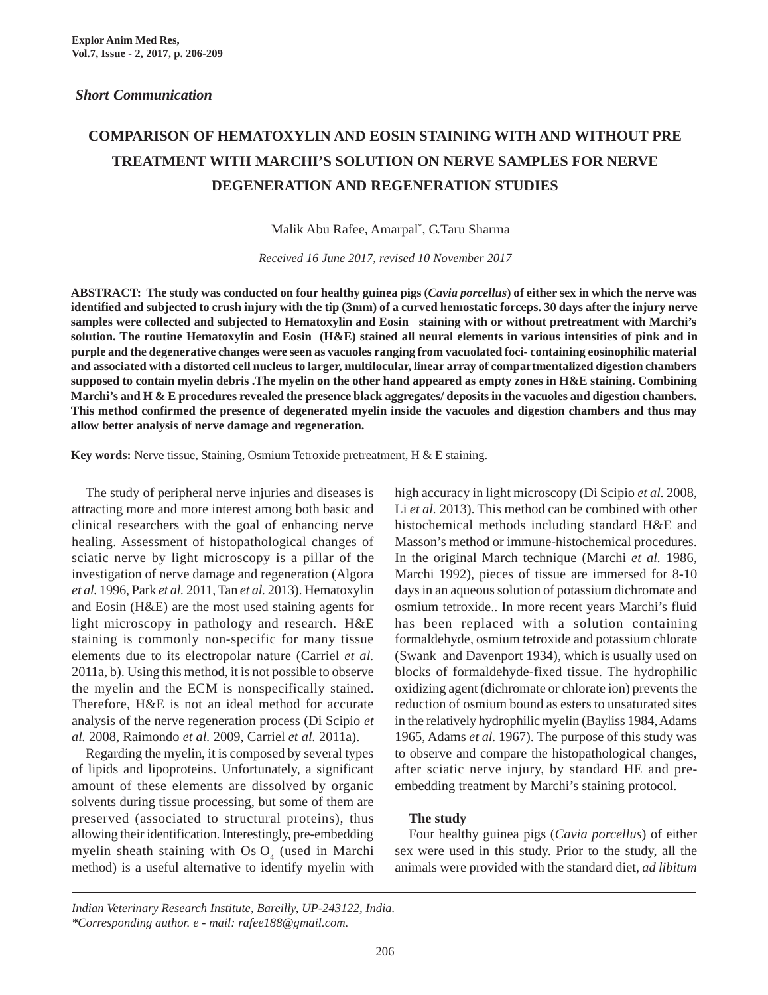## **COMPARISON OF HEMATOXYLIN AND EOSIN STAINING WITH AND WITHOUT PRE TREATMENT WITH MARCHI'S SOLUTION ON NERVE SAMPLES FOR NERVE DEGENERATION AND REGENERATION STUDIES**

Malik Abu Rafee, Amarpal\* , G.Taru Sharma

*Received 16 June 2017, revised 10 November 2017*

**ABSTRACT: The study was conducted on four healthy guinea pigs (***Cavia porcellus***) of either sex in which the nerve was identified and subjected to crush injury with the tip (3mm) of a curved hemostatic forceps. 30 days after the injury nerve samples were collected and subjected to Hematoxylin and Eosin staining with or without pretreatment with Marchi's solution. The routine Hematoxylin and Eosin (H&E) stained all neural elements in various intensities of pink and in purple and the degenerative changes were seen as vacuoles ranging from vacuolated foci- containing eosinophilic material and associated with a distorted cell nucleus to larger, multilocular, linear array of compartmentalized digestion chambers supposed to contain myelin debris .The myelin on the other hand appeared as empty zones in H&E staining. Combining Marchi's and H & E procedures revealed the presence black aggregates/ deposits in the vacuoles and digestion chambers. This method confirmed the presence of degenerated myelin inside the vacuoles and digestion chambers and thus may allow better analysis of nerve damage and regeneration.**

**Key words:** Nerve tissue, Staining, Osmium Tetroxide pretreatment, H & E staining.

The study of peripheral nerve injuries and diseases is attracting more and more interest among both basic and clinical researchers with the goal of enhancing nerve healing. Assessment of histopathological changes of sciatic nerve by light microscopy is a pillar of the investigation of nerve damage and regeneration (Algora *et al.* 1996, Park *et al.* 2011, Tan *et al.* 2013). Hematoxylin and Eosin (H&E) are the most used staining agents for light microscopy in pathology and research. H&E staining is commonly non-specific for many tissue elements due to its electropolar nature (Carriel *et al.* 2011a, b). Using this method, it is not possible to observe the myelin and the ECM is nonspecifically stained. Therefore, H&E is not an ideal method for accurate analysis of the nerve regeneration process (Di Scipio *et al.* 2008, Raimondo *et al.* 2009, Carriel *et al.* 2011a).

Regarding the myelin, it is composed by several types of lipids and lipoproteins. Unfortunately, a significant amount of these elements are dissolved by organic solvents during tissue processing, but some of them are preserved (associated to structural proteins), thus allowing their identification. Interestingly, pre-embedding myelin sheath staining with Os  $O<sub>4</sub>$  (used in Marchi method) is a useful alternative to identify myelin with

high accuracy in light microscopy (Di Scipio *et al.* 2008, Li *et al.* 2013). This method can be combined with other histochemical methods including standard H&E and Masson's method or immune-histochemical procedures. In the original March technique (Marchi *et al.* 1986, Marchi 1992), pieces of tissue are immersed for 8-10 days in an aqueous solution of potassium dichromate and osmium tetroxide.. In more recent years Marchi's fluid has been replaced with a solution containing formaldehyde, osmium tetroxide and potassium chlorate (Swank and Davenport 1934), which is usually used on blocks of formaldehyde-fixed tissue. The hydrophilic oxidizing agent (dichromate or chlorate ion) prevents the reduction of osmium bound as esters to unsaturated sites in the relatively hydrophilic myelin (Bayliss 1984, Adams 1965, Adams *et al.* 1967). The purpose of this study was to observe and compare the histopathological changes, after sciatic nerve injury, by standard HE and preembedding treatment by Marchi's staining protocol.

## **The study**

Four healthy guinea pigs (*Cavia porcellus*) of either sex were used in this study. Prior to the study, all the animals were provided with the standard diet, *ad libitum*

*Indian Veterinary Research Institute, Bareilly, UP-243122, India. \*Corresponding author. e - mail: rafee188@gmail.com.*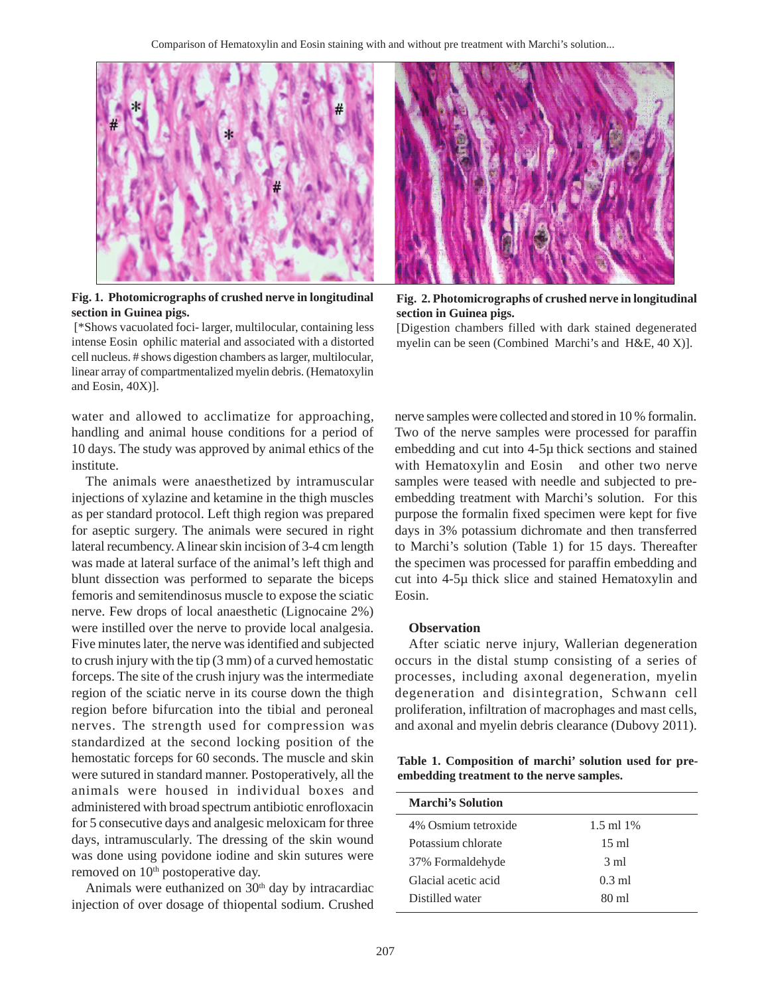

**Fig. 1. Photomicrographs of crushed nerve in longitudinal section in Guinea pigs.**

 [\*Shows vacuolated foci- larger, multilocular, containing less intense Eosin ophilic material and associated with a distorted cell nucleus. # shows digestion chambers as larger, multilocular, linear array of compartmentalized myelin debris. (Hematoxylin and Eosin, 40X)].

water and allowed to acclimatize for approaching, handling and animal house conditions for a period of 10 days. The study was approved by animal ethics of the institute.

The animals were anaesthetized by intramuscular injections of xylazine and ketamine in the thigh muscles as per standard protocol. Left thigh region was prepared for aseptic surgery. The animals were secured in right lateral recumbency. A linear skin incision of 3-4 cm length was made at lateral surface of the animal's left thigh and blunt dissection was performed to separate the biceps femoris and semitendinosus muscle to expose the sciatic nerve. Few drops of local anaesthetic (Lignocaine 2%) were instilled over the nerve to provide local analgesia. Five minutes later, the nerve was identified and subjected to crush injury with the tip (3 mm) of a curved hemostatic forceps. The site of the crush injury was the intermediate region of the sciatic nerve in its course down the thigh region before bifurcation into the tibial and peroneal nerves. The strength used for compression was standardized at the second locking position of the hemostatic forceps for 60 seconds. The muscle and skin were sutured in standard manner. Postoperatively, all the animals were housed in individual boxes and administered with broad spectrum antibiotic enrofloxacin for 5 consecutive days and analgesic meloxicam for three days, intramuscularly. The dressing of the skin wound was done using povidone iodine and skin sutures were removed on 10<sup>th</sup> postoperative day.

Animals were euthanized on  $30<sup>th</sup>$  day by intracardiac injection of over dosage of thiopental sodium. Crushed



**Fig. 2. Photomicrographs of crushed nerve in longitudinal section in Guinea pigs.**

[Digestion chambers filled with dark stained degenerated myelin can be seen (Combined Marchi's and H&E, 40 X)].

nerve samples were collected and stored in 10 % formalin. Two of the nerve samples were processed for paraffin embedding and cut into 4-5µ thick sections and stained with Hematoxylin and Eosin and other two nerve samples were teased with needle and subjected to preembedding treatment with Marchi's solution. For this purpose the formalin fixed specimen were kept for five days in 3% potassium dichromate and then transferred to Marchi's solution (Table 1) for 15 days. Thereafter the specimen was processed for paraffin embedding and cut into 4-5µ thick slice and stained Hematoxylin and Eosin.

## **Observation**

After sciatic nerve injury, Wallerian degeneration occurs in the distal stump consisting of a series of processes, including axonal degeneration, myelin degeneration and disintegration, Schwann cell proliferation, infiltration of macrophages and mast cells, and axonal and myelin debris clearance (Dubovy 2011).

**Table 1. Composition of marchi' solution used for preembedding treatment to the nerve samples.**

| $1.5$ ml $1\%$  |
|-----------------|
| $15 \text{ ml}$ |
| $3 \text{ ml}$  |
| $0.3$ ml        |
| 80 ml           |
|                 |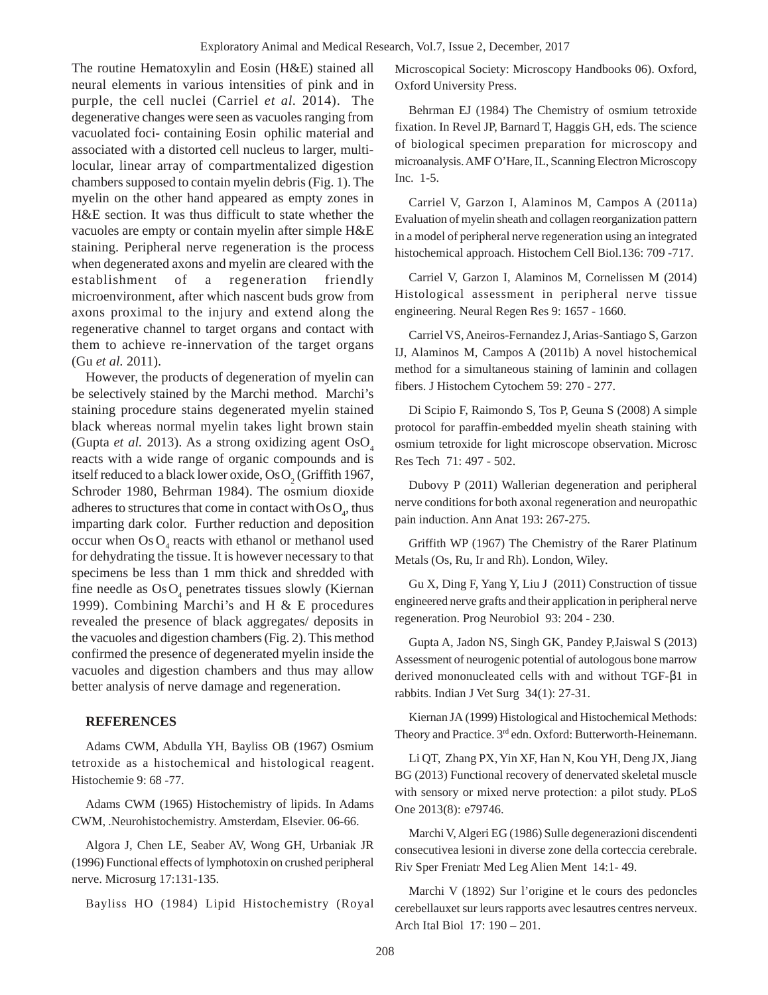The routine Hematoxylin and Eosin (H&E) stained all neural elements in various intensities of pink and in purple, the cell nuclei (Carriel *et al.* 2014). The degenerative changes were seen as vacuoles ranging from vacuolated foci- containing Eosin ophilic material and associated with a distorted cell nucleus to larger, multilocular, linear array of compartmentalized digestion chambers supposed to contain myelin debris (Fig. 1). The myelin on the other hand appeared as empty zones in H&E section. It was thus difficult to state whether the vacuoles are empty or contain myelin after simple H&E staining. Peripheral nerve regeneration is the process when degenerated axons and myelin are cleared with the establishment of a regeneration friendly microenvironment, after which nascent buds grow from axons proximal to the injury and extend along the regenerative channel to target organs and contact with them to achieve re-innervation of the target organs (Gu *et al.* 2011).

However, the products of degeneration of myelin can be selectively stained by the Marchi method. Marchi's staining procedure stains degenerated myelin stained black whereas normal myelin takes light brown stain (Gupta *et al.* 2013). As a strong oxidizing agent  $OsO<sub>4</sub>$ reacts with a wide range of organic compounds and is itself reduced to a black lower oxide, Os $O_2$  (Griffith 1967, Schroder 1980, Behrman 1984). The osmium dioxide adheres to structures that come in contact with  $\text{Os}\,\text{O}_4$ , thus imparting dark color. Further reduction and deposition occur when  $\text{Os } O_4$  reacts with ethanol or methanol used for dehydrating the tissue. It is however necessary to that specimens be less than 1 mm thick and shredded with fine needle as  $OsO<sub>4</sub>$  penetrates tissues slowly (Kiernan 1999). Combining Marchi's and H & E procedures revealed the presence of black aggregates/ deposits in the vacuoles and digestion chambers (Fig. 2). This method confirmed the presence of degenerated myelin inside the vacuoles and digestion chambers and thus may allow better analysis of nerve damage and regeneration.

## **REFERENCES**

Adams CWM, Abdulla YH, Bayliss OB (1967) Osmium tetroxide as a histochemical and histological reagent. Histochemie 9: 68 -77.

Adams CWM (1965) Histochemistry of lipids. In Adams CWM, .Neurohistochemistry. Amsterdam, Elsevier. 06-66.

Algora J, Chen LE, Seaber AV, Wong GH, Urbaniak JR (1996) Functional effects of lymphotoxin on crushed peripheral nerve. Microsurg 17:131-135.

Bayliss HO (1984) Lipid Histochemistry (Royal

Microscopical Society: Microscopy Handbooks 06). Oxford, Oxford University Press.

Behrman EJ (1984) The Chemistry of osmium tetroxide fixation. In Revel JP, Barnard T, Haggis GH, eds. The science of biological specimen preparation for microscopy and microanalysis. AMF O'Hare, IL, Scanning Electron Microscopy Inc. 1-5.

Carriel V, Garzon I, Alaminos M, Campos A (2011a) Evaluation of myelin sheath and collagen reorganization pattern in a model of peripheral nerve regeneration using an integrated histochemical approach. Histochem Cell Biol.136: 709 -717.

Carriel V, Garzon I, Alaminos M, Cornelissen M (2014) Histological assessment in peripheral nerve tissue engineering. Neural Regen Res 9: 1657 - 1660.

Carriel VS, Aneiros-Fernandez J, Arias-Santiago S, Garzon IJ, Alaminos M, Campos A (2011b) A novel histochemical method for a simultaneous staining of laminin and collagen fibers. J Histochem Cytochem 59: 270 - 277.

Di Scipio F, Raimondo S, Tos P, Geuna S (2008) A simple protocol for paraffin-embedded myelin sheath staining with osmium tetroxide for light microscope observation. Microsc Res Tech 71: 497 - 502.

Dubovy P (2011) Wallerian degeneration and peripheral nerve conditions for both axonal regeneration and neuropathic pain induction. Ann Anat 193: 267-275.

Griffith WP (1967) The Chemistry of the Rarer Platinum Metals (Os, Ru, Ir and Rh). London, Wiley.

Gu X, Ding F, Yang Y, Liu J (2011) Construction of tissue engineered nerve grafts and their application in peripheral nerve regeneration. Prog Neurobiol 93: 204 - 230.

Gupta A, Jadon NS, Singh GK, Pandey P,Jaiswal S (2013) Assessment of neurogenic potential of autologous bone marrow derived mononucleated cells with and without TGF-β1 in rabbits. Indian J Vet Surg 34(1): 27-31.

Kiernan JA (1999) Histological and Histochemical Methods: Theory and Practice. 3rd edn. Oxford: Butterworth-Heinemann.

Li QT, Zhang PX, Yin XF, Han N, Kou YH, Deng JX, Jiang BG (2013) Functional recovery of denervated skeletal muscle with sensory or mixed nerve protection: a pilot study. PLoS One 2013(8): e79746.

Marchi V, Algeri EG (1986) Sulle degenerazioni discendenti consecutivea lesioni in diverse zone della corteccia cerebrale. Riv Sper Freniatr Med Leg Alien Ment 14:1- 49.

Marchi V (1892) Sur l'origine et le cours des pedoncles cerebellauxet sur leurs rapports avec lesautres centres nerveux. Arch Ital Biol 17: 190 – 201.